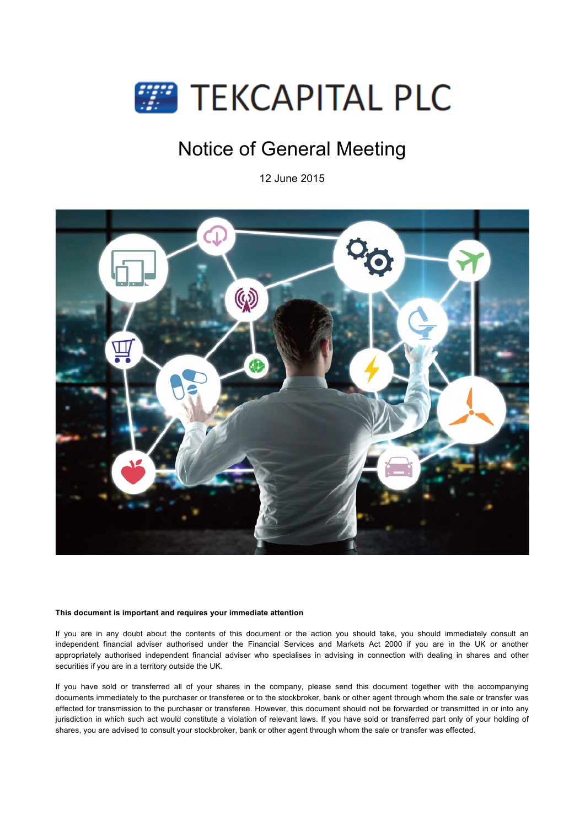

# Notice of General Meeting

12 June 2015



## **This document is important and requires your immediate attention**

If you are in any doubt about the contents of this document or the action you should take, you should immediately consult an independent financial adviser authorised under the Financial Services and Markets Act 2000 if you are in the UK or another appropriately authorised independent financial adviser who specialises in advising in connection with dealing in shares and other securities if you are in a territory outside the UK.

If you have sold or transferred all of your shares in the company, please send this document together with the accompanying documents immediately to the purchaser or transferee or to the stockbroker, bank or other agent through whom the sale or transfer was effected for transmission to the purchaser or transferee. However, this document should not be forwarded or transmitted in or into any jurisdiction in which such act would constitute a violation of relevant laws. If you have sold or transferred part only of your holding of shares, you are advised to consult your stockbroker, bank or other agent through whom the sale or transfer was effected.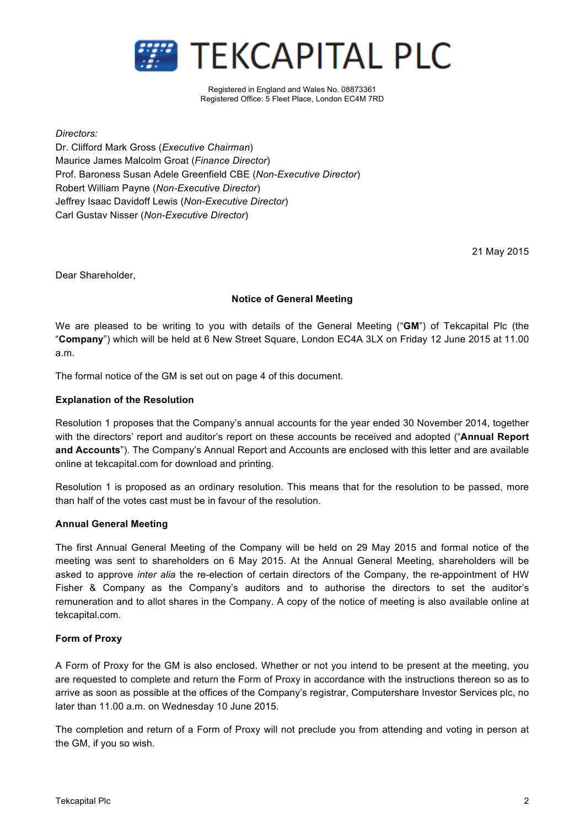

Registered in England and Wales No. 08873361 Registered Office: 5 Fleet Place, London EC4M 7RD

*Directors:*

Dr. Clifford Mark Gross (*Executive Chairman*) Maurice James Malcolm Groat (*Finance Director*) Prof. Baroness Susan Adele Greenfield CBE (*Non-Executive Director*) Robert William Payne (*Non-Executive Director*) Jeffrey Isaac Davidoff Lewis (*Non-Executive Director*) Carl Gustav Nisser (*Non-Executive Director*)

21 May 2015

Dear Shareholder,

# **Notice of General Meeting**

We are pleased to be writing to you with details of the General Meeting ("**GM**") of Tekcapital Plc (the "**Company**") which will be held at 6 New Street Square, London EC4A 3LX on Friday 12 June 2015 at 11.00 a.m.

The formal notice of the GM is set out on page 4 of this document.

# **Explanation of the Resolution**

Resolution 1 proposes that the Company's annual accounts for the year ended 30 November 2014, together with the directors' report and auditor's report on these accounts be received and adopted ("**Annual Report and Accounts**"). The Company's Annual Report and Accounts are enclosed with this letter and are available online at tekcapital.com for download and printing.

Resolution 1 is proposed as an ordinary resolution. This means that for the resolution to be passed, more than half of the votes cast must be in favour of the resolution.

## **Annual General Meeting**

The first Annual General Meeting of the Company will be held on 29 May 2015 and formal notice of the meeting was sent to shareholders on 6 May 2015. At the Annual General Meeting, shareholders will be asked to approve *inter alia* the re-election of certain directors of the Company, the re-appointment of HW Fisher & Company as the Company's auditors and to authorise the directors to set the auditor's remuneration and to allot shares in the Company. A copy of the notice of meeting is also available online at tekcapital.com.

# **Form of Proxy**

A Form of Proxy for the GM is also enclosed. Whether or not you intend to be present at the meeting, you are requested to complete and return the Form of Proxy in accordance with the instructions thereon so as to arrive as soon as possible at the offices of the Company's registrar, Computershare Investor Services plc, no later than 11.00 a.m. on Wednesday 10 June 2015.

The completion and return of a Form of Proxy will not preclude you from attending and voting in person at the GM, if you so wish.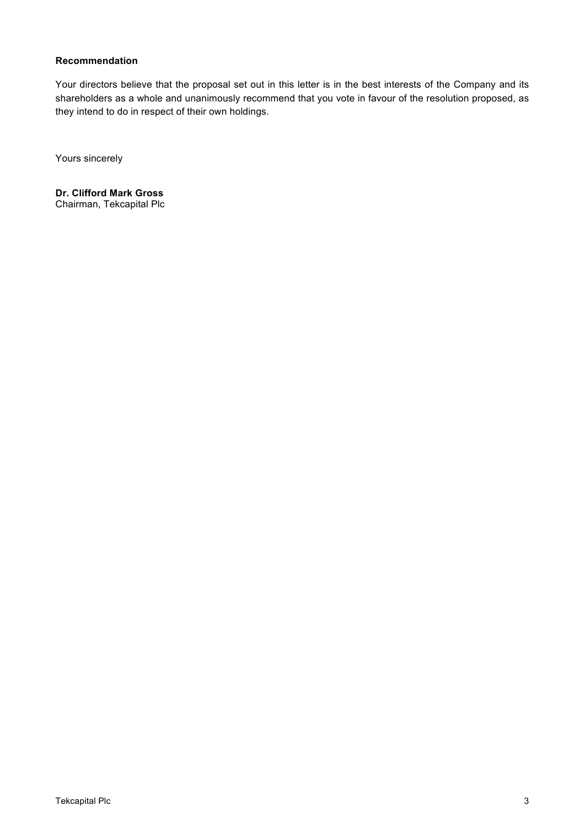# **Recommendation**

Your directors believe that the proposal set out in this letter is in the best interests of the Company and its shareholders as a whole and unanimously recommend that you vote in favour of the resolution proposed, as they intend to do in respect of their own holdings.

Yours sincerely

**Dr. Clifford Mark Gross**  Chairman, Tekcapital Plc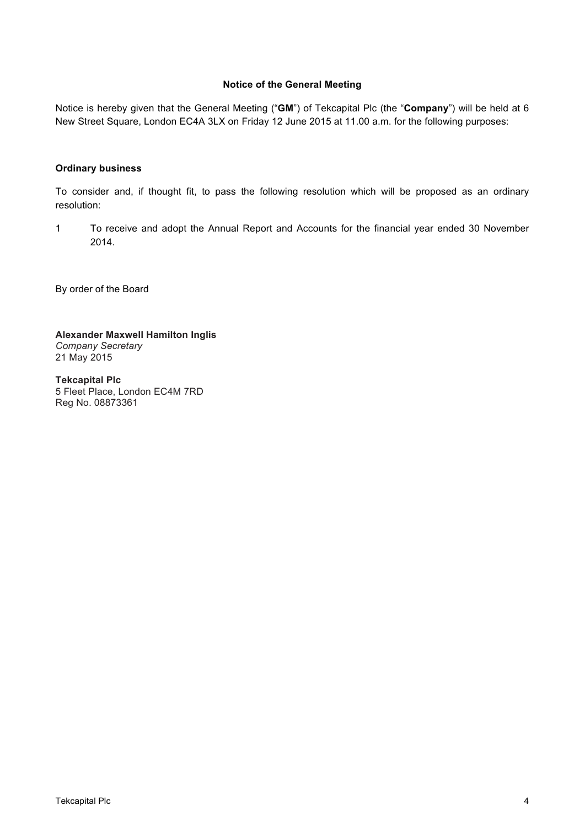# **Notice of the General Meeting**

Notice is hereby given that the General Meeting ("**GM**") of Tekcapital Plc (the "**Company**") will be held at 6 New Street Square, London EC4A 3LX on Friday 12 June 2015 at 11.00 a.m. for the following purposes:

# **Ordinary business**

To consider and, if thought fit, to pass the following resolution which will be proposed as an ordinary resolution:

1 To receive and adopt the Annual Report and Accounts for the financial year ended 30 November 2014.

By order of the Board

**Alexander Maxwell Hamilton Inglis** *Company Secretary*  21 May 2015

**Tekcapital Plc**  5 Fleet Place, London EC4M 7RD Reg No. 08873361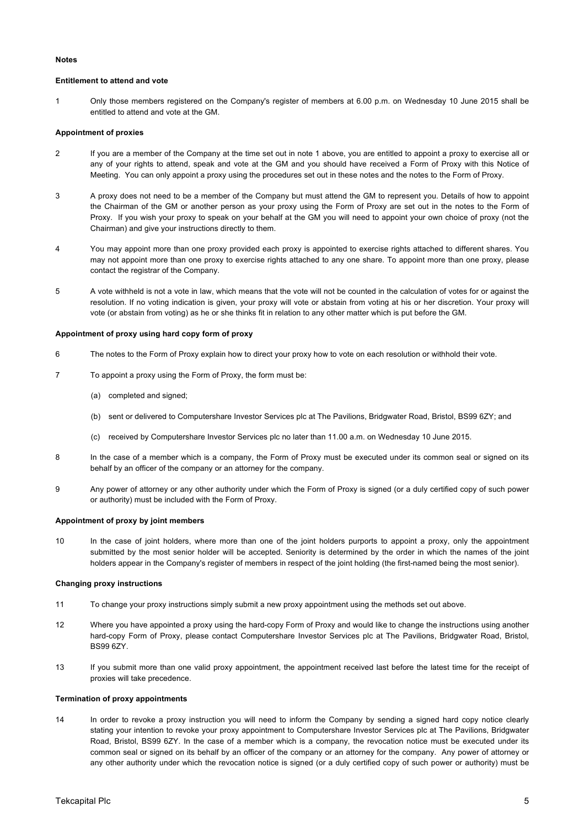## **Notes**

## **Entitlement to attend and vote**

1 Only those members registered on the Company's register of members at 6.00 p.m. on Wednesday 10 June 2015 shall be entitled to attend and vote at the GM.

## **Appointment of proxies**

- 2 If you are a member of the Company at the time set out in note 1 above, you are entitled to appoint a proxy to exercise all or any of your rights to attend, speak and vote at the GM and you should have received a Form of Proxy with this Notice of Meeting. You can only appoint a proxy using the procedures set out in these notes and the notes to the Form of Proxy.
- 3 A proxy does not need to be a member of the Company but must attend the GM to represent you. Details of how to appoint the Chairman of the GM or another person as your proxy using the Form of Proxy are set out in the notes to the Form of Proxy. If you wish your proxy to speak on your behalf at the GM you will need to appoint your own choice of proxy (not the Chairman) and give your instructions directly to them.
- 4 You may appoint more than one proxy provided each proxy is appointed to exercise rights attached to different shares. You may not appoint more than one proxy to exercise rights attached to any one share. To appoint more than one proxy, please contact the registrar of the Company.
- 5 A vote withheld is not a vote in law, which means that the vote will not be counted in the calculation of votes for or against the resolution. If no voting indication is given, your proxy will vote or abstain from voting at his or her discretion. Your proxy will vote (or abstain from voting) as he or she thinks fit in relation to any other matter which is put before the GM.

### **Appointment of proxy using hard copy form of proxy**

- 6 The notes to the Form of Proxy explain how to direct your proxy how to vote on each resolution or withhold their vote.
- 7 To appoint a proxy using the Form of Proxy, the form must be:
	- (a) completed and signed;
	- (b) sent or delivered to Computershare Investor Services plc at The Pavilions, Bridgwater Road, Bristol, BS99 6ZY; and
	- (c) received by Computershare Investor Services plc no later than 11.00 a.m. on Wednesday 10 June 2015.
- 8 In the case of a member which is a company, the Form of Proxy must be executed under its common seal or signed on its behalf by an officer of the company or an attorney for the company.
- 9 Any power of attorney or any other authority under which the Form of Proxy is signed (or a duly certified copy of such power or authority) must be included with the Form of Proxy.

## **Appointment of proxy by joint members**

10 In the case of joint holders, where more than one of the joint holders purports to appoint a proxy, only the appointment submitted by the most senior holder will be accepted. Seniority is determined by the order in which the names of the joint holders appear in the Company's register of members in respect of the joint holding (the first-named being the most senior).

#### **Changing proxy instructions**

- 11 To change your proxy instructions simply submit a new proxy appointment using the methods set out above.
- 12 Where you have appointed a proxy using the hard-copy Form of Proxy and would like to change the instructions using another hard-copy Form of Proxy, please contact Computershare Investor Services plc at The Pavilions, Bridgwater Road, Bristol, BS99 6ZY.
- 13 If you submit more than one valid proxy appointment, the appointment received last before the latest time for the receipt of proxies will take precedence.

#### **Termination of proxy appointments**

14 In order to revoke a proxy instruction you will need to inform the Company by sending a signed hard copy notice clearly stating your intention to revoke your proxy appointment to Computershare Investor Services plc at The Pavilions, Bridgwater Road, Bristol, BS99 6ZY. In the case of a member which is a company, the revocation notice must be executed under its common seal or signed on its behalf by an officer of the company or an attorney for the company. Any power of attorney or any other authority under which the revocation notice is signed (or a duly certified copy of such power or authority) must be